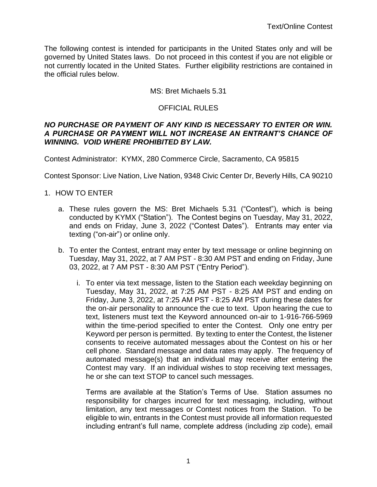The following contest is intended for participants in the United States only and will be governed by United States laws. Do not proceed in this contest if you are not eligible or not currently located in the United States. Further eligibility restrictions are contained in the official rules below.

#### MS: Bret Michaels 5.31

#### OFFICIAL RULES

#### *NO PURCHASE OR PAYMENT OF ANY KIND IS NECESSARY TO ENTER OR WIN. A PURCHASE OR PAYMENT WILL NOT INCREASE AN ENTRANT'S CHANCE OF WINNING. VOID WHERE PROHIBITED BY LAW.*

Contest Administrator: KYMX, 280 Commerce Circle, Sacramento, CA 95815

Contest Sponsor: Live Nation, Live Nation, 9348 Civic Center Dr, Beverly Hills, CA 90210

#### 1. HOW TO ENTER

- a. These rules govern the MS: Bret Michaels 5.31 ("Contest"), which is being conducted by KYMX ("Station"). The Contest begins on Tuesday, May 31, 2022, and ends on Friday, June 3, 2022 ("Contest Dates"). Entrants may enter via texting ("on-air") or online only.
- b. To enter the Contest, entrant may enter by text message or online beginning on Tuesday, May 31, 2022, at 7 AM PST - 8:30 AM PST and ending on Friday, June 03, 2022, at 7 AM PST - 8:30 AM PST ("Entry Period").
	- i. To enter via text message, listen to the Station each weekday beginning on Tuesday, May 31, 2022, at 7:25 AM PST - 8:25 AM PST and ending on Friday, June 3, 2022, at 7:25 AM PST - 8:25 AM PST during these dates for the on-air personality to announce the cue to text. Upon hearing the cue to text, listeners must text the Keyword announced on-air to 1-916-766-5969 within the time-period specified to enter the Contest. Only one entry per Keyword per person is permitted. By texting to enter the Contest, the listener consents to receive automated messages about the Contest on his or her cell phone. Standard message and data rates may apply. The frequency of automated message(s) that an individual may receive after entering the Contest may vary. If an individual wishes to stop receiving text messages, he or she can text STOP to cancel such messages.

Terms are available at the Station's Terms of Use. Station assumes no responsibility for charges incurred for text messaging, including, without limitation, any text messages or Contest notices from the Station. To be eligible to win, entrants in the Contest must provide all information requested including entrant's full name, complete address (including zip code), email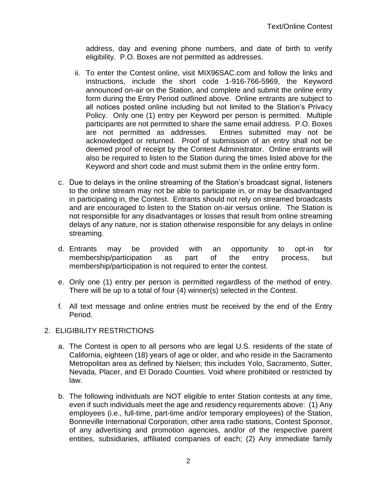address, day and evening phone numbers, and date of birth to verify eligibility. P.O. Boxes are not permitted as addresses.

- ii. To enter the Contest online, visit MIX96SAC.com and follow the links and instructions, include the short code 1-916-766-5969, the Keyword announced on-air on the Station, and complete and submit the online entry form during the Entry Period outlined above. Online entrants are subject to all notices posted online including but not limited to the Station's Privacy Policy. Only one (1) entry per Keyword per person is permitted. Multiple participants are not permitted to share the same email address. P.O. Boxes are not permitted as addresses. Entries submitted may not be acknowledged or returned. Proof of submission of an entry shall not be deemed proof of receipt by the Contest Administrator. Online entrants will also be required to listen to the Station during the times listed above for the Keyword and short code and must submit them in the online entry form.
- c. Due to delays in the online streaming of the Station's broadcast signal, listeners to the online stream may not be able to participate in, or may be disadvantaged in participating in, the Contest. Entrants should not rely on streamed broadcasts and are encouraged to listen to the Station on-air versus online. The Station is not responsible for any disadvantages or losses that result from online streaming delays of any nature, nor is station otherwise responsible for any delays in online streaming.
- d. Entrants may be provided with an opportunity to opt-in for membership/participation as part of the entry process, but membership/participation is not required to enter the contest.
- e. Only one (1) entry per person is permitted regardless of the method of entry. There will be up to a total of four (4) winner(s) selected in the Contest.
- f. All text message and online entries must be received by the end of the Entry Period.

# 2. ELIGIBILITY RESTRICTIONS

- a. The Contest is open to all persons who are legal U.S. residents of the state of California, eighteen (18) years of age or older, and who reside in the Sacramento Metropolitan area as defined by Nielsen; this includes Yolo, Sacramento, Sutter, Nevada, Placer, and El Dorado Counties. Void where prohibited or restricted by law.
- b. The following individuals are NOT eligible to enter Station contests at any time, even if such individuals meet the age and residency requirements above: (1) Any employees (i.e., full-time, part-time and/or temporary employees) of the Station, Bonneville International Corporation, other area radio stations, Contest Sponsor, of any advertising and promotion agencies, and/or of the respective parent entities, subsidiaries, affiliated companies of each; (2) Any immediate family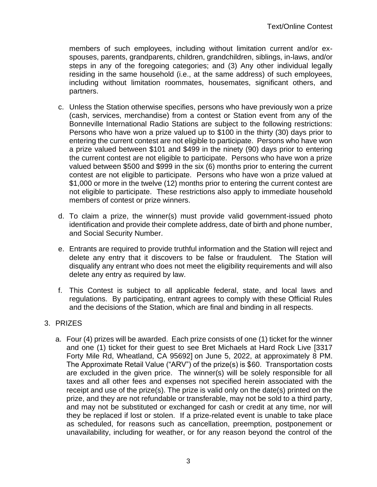members of such employees, including without limitation current and/or exspouses, parents, grandparents, children, grandchildren, siblings, in-laws, and/or steps in any of the foregoing categories; and (3) Any other individual legally residing in the same household (i.e., at the same address) of such employees, including without limitation roommates, housemates, significant others, and partners.

- c. Unless the Station otherwise specifies, persons who have previously won a prize (cash, services, merchandise) from a contest or Station event from any of the Bonneville International Radio Stations are subject to the following restrictions: Persons who have won a prize valued up to \$100 in the thirty (30) days prior to entering the current contest are not eligible to participate. Persons who have won a prize valued between \$101 and \$499 in the ninety (90) days prior to entering the current contest are not eligible to participate. Persons who have won a prize valued between \$500 and \$999 in the six (6) months prior to entering the current contest are not eligible to participate. Persons who have won a prize valued at \$1,000 or more in the twelve (12) months prior to entering the current contest are not eligible to participate. These restrictions also apply to immediate household members of contest or prize winners.
- d. To claim a prize, the winner(s) must provide valid government-issued photo identification and provide their complete address, date of birth and phone number, and Social Security Number.
- e. Entrants are required to provide truthful information and the Station will reject and delete any entry that it discovers to be false or fraudulent. The Station will disqualify any entrant who does not meet the eligibility requirements and will also delete any entry as required by law.
- f. This Contest is subject to all applicable federal, state, and local laws and regulations. By participating, entrant agrees to comply with these Official Rules and the decisions of the Station, which are final and binding in all respects.

# 3. PRIZES

a. Four (4) prizes will be awarded. Each prize consists of one (1) ticket for the winner and one (1) ticket for their guest to see Bret Michaels at Hard Rock Live [3317 Forty Mile Rd, Wheatland, CA 95692] on June 5, 2022, at approximately 8 PM. The Approximate Retail Value ("ARV") of the prize(s) is \$60. Transportation costs are excluded in the given price. The winner(s) will be solely responsible for all taxes and all other fees and expenses not specified herein associated with the receipt and use of the prize(s). The prize is valid only on the date(s) printed on the prize, and they are not refundable or transferable, may not be sold to a third party, and may not be substituted or exchanged for cash or credit at any time, nor will they be replaced if lost or stolen. If a prize-related event is unable to take place as scheduled, for reasons such as cancellation, preemption, postponement or unavailability, including for weather, or for any reason beyond the control of the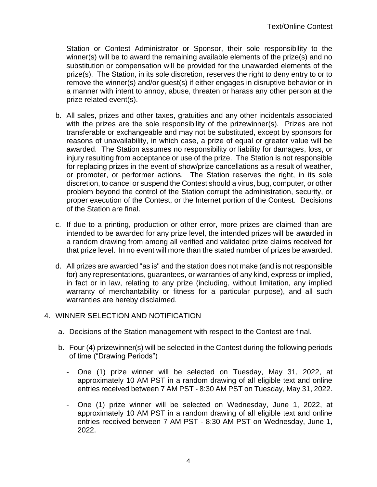Station or Contest Administrator or Sponsor, their sole responsibility to the winner(s) will be to award the remaining available elements of the prize(s) and no substitution or compensation will be provided for the unawarded elements of the prize(s). The Station, in its sole discretion, reserves the right to deny entry to or to remove the winner(s) and/or guest(s) if either engages in disruptive behavior or in a manner with intent to annoy, abuse, threaten or harass any other person at the prize related event(s).

- b. All sales, prizes and other taxes, gratuities and any other incidentals associated with the prizes are the sole responsibility of the prizewinner(s). Prizes are not transferable or exchangeable and may not be substituted, except by sponsors for reasons of unavailability, in which case, a prize of equal or greater value will be awarded. The Station assumes no responsibility or liability for damages, loss, or injury resulting from acceptance or use of the prize. The Station is not responsible for replacing prizes in the event of show/prize cancellations as a result of weather, or promoter, or performer actions. The Station reserves the right, in its sole discretion, to cancel or suspend the Contest should a virus, bug, computer, or other problem beyond the control of the Station corrupt the administration, security, or proper execution of the Contest, or the Internet portion of the Contest. Decisions of the Station are final.
- c. If due to a printing, production or other error, more prizes are claimed than are intended to be awarded for any prize level, the intended prizes will be awarded in a random drawing from among all verified and validated prize claims received for that prize level. In no event will more than the stated number of prizes be awarded.
- d. All prizes are awarded "as is" and the station does not make (and is not responsible for) any representations, guarantees, or warranties of any kind, express or implied, in fact or in law, relating to any prize (including, without limitation, any implied warranty of merchantability or fitness for a particular purpose), and all such warranties are hereby disclaimed.

# 4. WINNER SELECTION AND NOTIFICATION

- a. Decisions of the Station management with respect to the Contest are final.
- b. Four (4) prizewinner(s) will be selected in the Contest during the following periods of time ("Drawing Periods")
	- One (1) prize winner will be selected on Tuesday, May 31, 2022, at approximately 10 AM PST in a random drawing of all eligible text and online entries received between 7 AM PST - 8:30 AM PST on Tuesday, May 31, 2022.
	- One (1) prize winner will be selected on Wednesday, June 1, 2022, at approximately 10 AM PST in a random drawing of all eligible text and online entries received between 7 AM PST - 8:30 AM PST on Wednesday, June 1, 2022.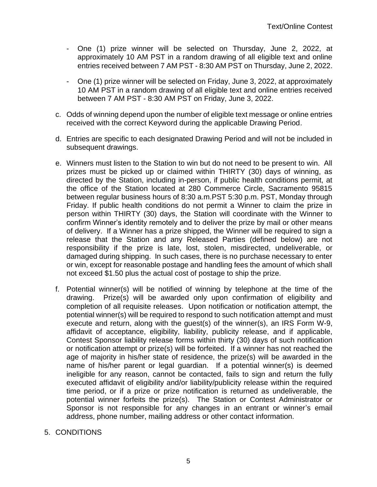- One (1) prize winner will be selected on Thursday, June 2, 2022, at approximately 10 AM PST in a random drawing of all eligible text and online entries received between 7 AM PST - 8:30 AM PST on Thursday, June 2, 2022.
- One (1) prize winner will be selected on Friday, June 3, 2022, at approximately 10 AM PST in a random drawing of all eligible text and online entries received between 7 AM PST - 8:30 AM PST on Friday, June 3, 2022.
- c. Odds of winning depend upon the number of eligible text message or online entries received with the correct Keyword during the applicable Drawing Period.
- d. Entries are specific to each designated Drawing Period and will not be included in subsequent drawings.
- e. Winners must listen to the Station to win but do not need to be present to win. All prizes must be picked up or claimed within THIRTY (30) days of winning, as directed by the Station, including in-person, if public health conditions permit, at the office of the Station located at 280 Commerce Circle, Sacramento 95815 between regular business hours of 8:30 a.m.PST 5:30 p.m. PST, Monday through Friday. If public health conditions do not permit a Winner to claim the prize in person within THIRTY (30) days, the Station will coordinate with the Winner to confirm Winner's identity remotely and to deliver the prize by mail or other means of delivery. If a Winner has a prize shipped, the Winner will be required to sign a release that the Station and any Released Parties (defined below) are not responsibility if the prize is late, lost, stolen, misdirected, undeliverable, or damaged during shipping. In such cases, there is no purchase necessary to enter or win, except for reasonable postage and handling fees the amount of which shall not exceed \$1.50 plus the actual cost of postage to ship the prize.
- f. Potential winner(s) will be notified of winning by telephone at the time of the drawing. Prize(s) will be awarded only upon confirmation of eligibility and completion of all requisite releases. Upon notification or notification attempt, the potential winner(s) will be required to respond to such notification attempt and must execute and return, along with the guest(s) of the winner(s), an IRS Form W-9, affidavit of acceptance, eligibility, liability, publicity release, and if applicable, Contest Sponsor liability release forms within thirty (30) days of such notification or notification attempt or prize(s) will be forfeited. If a winner has not reached the age of majority in his/her state of residence, the prize(s) will be awarded in the name of his/her parent or legal guardian. If a potential winner(s) is deemed ineligible for any reason, cannot be contacted, fails to sign and return the fully executed affidavit of eligibility and/or liability/publicity release within the required time period, or if a prize or prize notification is returned as undeliverable, the potential winner forfeits the prize(s). The Station or Contest Administrator or Sponsor is not responsible for any changes in an entrant or winner's email address, phone number, mailing address or other contact information.
- 5. CONDITIONS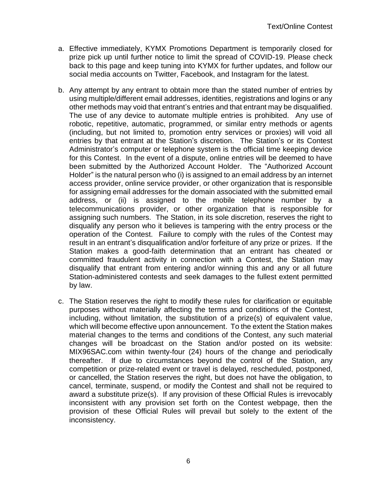- a. Effective immediately, KYMX Promotions Department is temporarily closed for prize pick up until further notice to limit the spread of COVID-19. Please check back to this page and keep tuning into KYMX for further updates, and follow our social media accounts on Twitter, Facebook, and Instagram for the latest.
- b. Any attempt by any entrant to obtain more than the stated number of entries by using multiple/different email addresses, identities, registrations and logins or any other methods may void that entrant's entries and that entrant may be disqualified. The use of any device to automate multiple entries is prohibited. Any use of robotic, repetitive, automatic, programmed, or similar entry methods or agents (including, but not limited to, promotion entry services or proxies) will void all entries by that entrant at the Station's discretion. The Station's or its Contest Administrator's computer or telephone system is the official time keeping device for this Contest. In the event of a dispute, online entries will be deemed to have been submitted by the Authorized Account Holder. The "Authorized Account Holder" is the natural person who (i) is assigned to an email address by an internet access provider, online service provider, or other organization that is responsible for assigning email addresses for the domain associated with the submitted email address, or (ii) is assigned to the mobile telephone number by a telecommunications provider, or other organization that is responsible for assigning such numbers. The Station, in its sole discretion, reserves the right to disqualify any person who it believes is tampering with the entry process or the operation of the Contest. Failure to comply with the rules of the Contest may result in an entrant's disqualification and/or forfeiture of any prize or prizes. If the Station makes a good-faith determination that an entrant has cheated or committed fraudulent activity in connection with a Contest, the Station may disqualify that entrant from entering and/or winning this and any or all future Station-administered contests and seek damages to the fullest extent permitted by law.
- c. The Station reserves the right to modify these rules for clarification or equitable purposes without materially affecting the terms and conditions of the Contest, including, without limitation, the substitution of a prize(s) of equivalent value, which will become effective upon announcement. To the extent the Station makes material changes to the terms and conditions of the Contest, any such material changes will be broadcast on the Station and/or posted on its website: MIX96SAC.com within twenty-four (24) hours of the change and periodically thereafter. If due to circumstances beyond the control of the Station, any competition or prize-related event or travel is delayed, rescheduled, postponed, or cancelled, the Station reserves the right, but does not have the obligation, to cancel, terminate, suspend, or modify the Contest and shall not be required to award a substitute prize(s). If any provision of these Official Rules is irrevocably inconsistent with any provision set forth on the Contest webpage, then the provision of these Official Rules will prevail but solely to the extent of the inconsistency.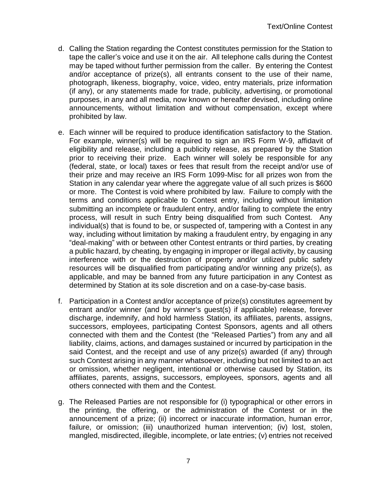- d. Calling the Station regarding the Contest constitutes permission for the Station to tape the caller's voice and use it on the air. All telephone calls during the Contest may be taped without further permission from the caller. By entering the Contest and/or acceptance of prize(s), all entrants consent to the use of their name, photograph, likeness, biography, voice, video, entry materials, prize information (if any), or any statements made for trade, publicity, advertising, or promotional purposes, in any and all media, now known or hereafter devised, including online announcements, without limitation and without compensation, except where prohibited by law.
- e. Each winner will be required to produce identification satisfactory to the Station. For example, winner(s) will be required to sign an IRS Form W-9, affidavit of eligibility and release, including a publicity release, as prepared by the Station prior to receiving their prize. Each winner will solely be responsible for any (federal, state, or local) taxes or fees that result from the receipt and/or use of their prize and may receive an IRS Form 1099-Misc for all prizes won from the Station in any calendar year where the aggregate value of all such prizes is \$600 or more. The Contest is void where prohibited by law. Failure to comply with the terms and conditions applicable to Contest entry, including without limitation submitting an incomplete or fraudulent entry, and/or failing to complete the entry process, will result in such Entry being disqualified from such Contest. Any individual(s) that is found to be, or suspected of, tampering with a Contest in any way, including without limitation by making a fraudulent entry, by engaging in any "deal-making" with or between other Contest entrants or third parties, by creating a public hazard, by cheating, by engaging in improper or illegal activity, by causing interference with or the destruction of property and/or utilized public safety resources will be disqualified from participating and/or winning any prize(s), as applicable, and may be banned from any future participation in any Contest as determined by Station at its sole discretion and on a case-by-case basis.
- f. Participation in a Contest and/or acceptance of prize(s) constitutes agreement by entrant and/or winner (and by winner's guest(s) if applicable) release, forever discharge, indemnify, and hold harmless Station, its affiliates, parents, assigns, successors, employees, participating Contest Sponsors, agents and all others connected with them and the Contest (the "Released Parties") from any and all liability, claims, actions, and damages sustained or incurred by participation in the said Contest, and the receipt and use of any prize(s) awarded (if any) through such Contest arising in any manner whatsoever, including but not limited to an act or omission, whether negligent, intentional or otherwise caused by Station, its affiliates, parents, assigns, successors, employees, sponsors, agents and all others connected with them and the Contest.
- g. The Released Parties are not responsible for (i) typographical or other errors in the printing, the offering, or the administration of the Contest or in the announcement of a prize; (ii) incorrect or inaccurate information, human error, failure, or omission; (iii) unauthorized human intervention; (iv) lost, stolen, mangled, misdirected, illegible, incomplete, or late entries; (v) entries not received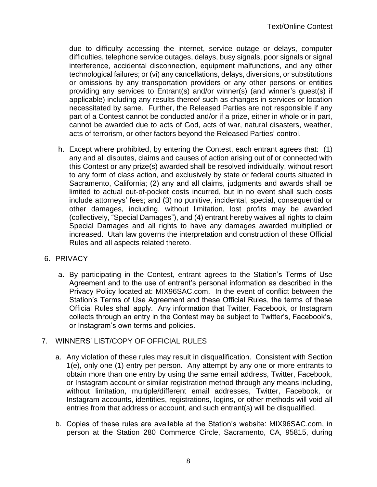due to difficulty accessing the internet, service outage or delays, computer difficulties, telephone service outages, delays, busy signals, poor signals or signal interference, accidental disconnection, equipment malfunctions, and any other technological failures; or (vi) any cancellations, delays, diversions, or substitutions or omissions by any transportation providers or any other persons or entities providing any services to Entrant(s) and/or winner(s) (and winner's guest(s) if applicable) including any results thereof such as changes in services or location necessitated by same. Further, the Released Parties are not responsible if any part of a Contest cannot be conducted and/or if a prize, either in whole or in part, cannot be awarded due to acts of God, acts of war, natural disasters, weather, acts of terrorism, or other factors beyond the Released Parties' control.

h. Except where prohibited, by entering the Contest, each entrant agrees that: (1) any and all disputes, claims and causes of action arising out of or connected with this Contest or any prize(s) awarded shall be resolved individually, without resort to any form of class action, and exclusively by state or federal courts situated in Sacramento, California; (2) any and all claims, judgments and awards shall be limited to actual out-of-pocket costs incurred, but in no event shall such costs include attorneys' fees; and (3) no punitive, incidental, special, consequential or other damages, including, without limitation, lost profits may be awarded (collectively, "Special Damages"), and (4) entrant hereby waives all rights to claim Special Damages and all rights to have any damages awarded multiplied or increased. Utah law governs the interpretation and construction of these Official Rules and all aspects related thereto.

# 6. PRIVACY

a. By participating in the Contest, entrant agrees to the Station's Terms of Use Agreement and to the use of entrant's personal information as described in the Privacy Policy located at: MIX96SAC.com. In the event of conflict between the Station's Terms of Use Agreement and these Official Rules, the terms of these Official Rules shall apply. Any information that Twitter, Facebook, or Instagram collects through an entry in the Contest may be subject to Twitter's, Facebook's, or Instagram's own terms and policies.

# 7. WINNERS' LIST/COPY OF OFFICIAL RULES

- a. Any violation of these rules may result in disqualification. Consistent with Section 1(e), only one (1) entry per person. Any attempt by any one or more entrants to obtain more than one entry by using the same email address, Twitter, Facebook, or Instagram account or similar registration method through any means including, without limitation, multiple/different email addresses, Twitter, Facebook, or Instagram accounts, identities, registrations, logins, or other methods will void all entries from that address or account, and such entrant(s) will be disqualified.
- b. Copies of these rules are available at the Station's website: MIX96SAC.com, in person at the Station 280 Commerce Circle, Sacramento, CA, 95815, during